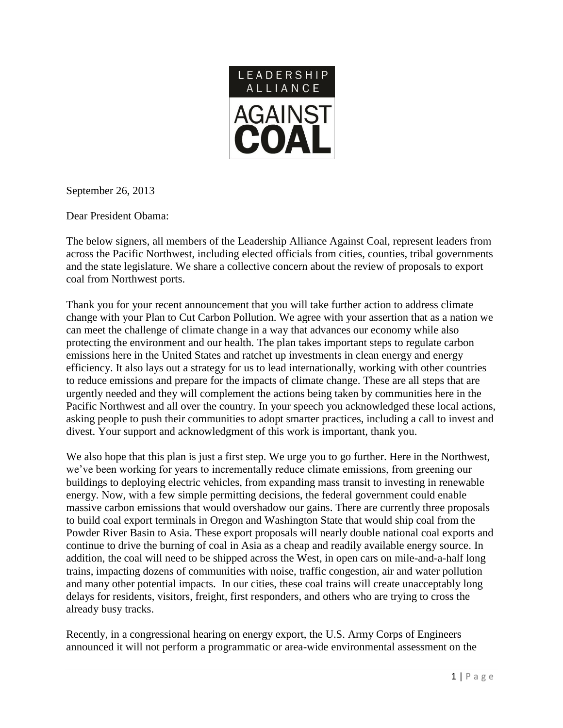

September 26, 2013

Dear President Obama:

The below signers, all members of the Leadership Alliance Against Coal, represent leaders from across the Pacific Northwest, including elected officials from cities, counties, tribal governments and the state legislature. We share a collective concern about the review of proposals to export coal from Northwest ports.

Thank you for your recent announcement that you will take further action to address climate change with your Plan to Cut Carbon Pollution. We agree with your assertion that as a nation we can meet the challenge of climate change in a way that advances our economy while also protecting the environment and our health. The plan takes important steps to regulate carbon emissions here in the United States and ratchet up investments in clean energy and energy efficiency. It also lays out a strategy for us to lead internationally, working with other countries to reduce emissions and prepare for the impacts of climate change. These are all steps that are urgently needed and they will complement the actions being taken by communities here in the Pacific Northwest and all over the country. In your speech you acknowledged these local actions, asking people to push their communities to adopt smarter practices, including a call to invest and divest. Your support and acknowledgment of this work is important, thank you.

We also hope that this plan is just a first step. We urge you to go further. Here in the Northwest, we've been working for years to incrementally reduce climate emissions, from greening our buildings to deploying electric vehicles, from expanding mass transit to investing in renewable energy. Now, with a few simple permitting decisions, the federal government could enable massive carbon emissions that would overshadow our gains. There are currently three proposals to build coal export terminals in Oregon and Washington State that would ship coal from the Powder River Basin to Asia. These export proposals will nearly double national coal exports and continue to drive the burning of coal in Asia as a cheap and readily available energy source. In addition, the coal will need to be shipped across the West, in open cars on mile-and-a-half long trains, impacting dozens of communities with noise, traffic congestion, air and water pollution and many other potential impacts. In our cities, these coal trains will create unacceptably long delays for residents, visitors, freight, first responders, and others who are trying to cross the already busy tracks.

Recently, in a congressional hearing on energy export, the U.S. Army Corps of Engineers announced it will not perform a programmatic or area-wide environmental assessment on the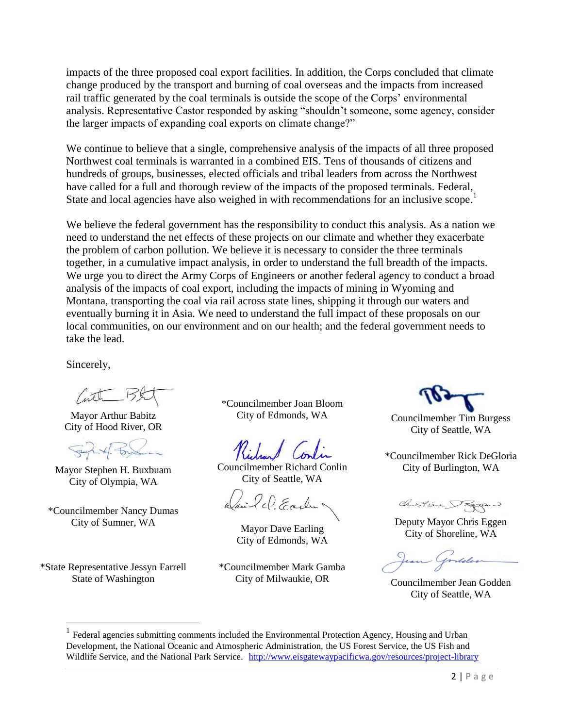impacts of the three proposed coal export facilities. In addition, the Corps concluded that climate change produced by the transport and burning of coal overseas and the impacts from increased rail traffic generated by the coal terminals is outside the scope of the Corps' environmental analysis. Representative Castor responded by asking "shouldn't someone, some agency, consider the larger impacts of expanding coal exports on climate change?"

We continue to believe that a single, comprehensive analysis of the impacts of all three proposed Northwest coal terminals is warranted in a combined EIS. Tens of thousands of citizens and hundreds of groups, businesses, elected officials and tribal leaders from across the Northwest have called for a full and thorough review of the impacts of the proposed terminals. Federal, State and local agencies have also weighed in with recommendations for an inclusive scope.<sup>1</sup>

We believe the federal government has the responsibility to conduct this analysis. As a nation we need to understand the net effects of these projects on our climate and whether they exacerbate the problem of carbon pollution. We believe it is necessary to consider the three terminals together, in a cumulative impact analysis, in order to understand the full breadth of the impacts. We urge you to direct the Army Corps of Engineers or another federal agency to conduct a broad analysis of the impacts of coal export, including the impacts of mining in Wyoming and Montana, transporting the coal via rail across state lines, shipping it through our waters and eventually burning it in Asia. We need to understand the full impact of these proposals on our local communities, on our environment and on our health; and the federal government needs to take the lead.

Sincerely,

(utr B)

Mayor Arthur Babitz City of Hood River, OR

Mayor Stephen H. Buxbuam City of Olympia, WA

\*Councilmember Nancy Dumas City of Sumner, WA Mayor Dave Earling

\*State Representative Jessyn Farrell State of Washington

 $\overline{a}$ 

\*Councilmember Joan Bloom

Councilmember Richard Conlin City of Seattle, WA

Wai lel Early

City of Edmonds, WA

\*Councilmember Mark Gamba City of Milwaukie, OR Councilmember Jean Godden

City of Edmonds, WA Councilmember Tim Burgess City of Seattle, WA

\*Councilmember Rick DeGloria City of Burlington, WA

Chilstin Pageu

Deputy Mayor Chris Eggen City of Shoreline, WA

City of Seattle, WA

<sup>&</sup>lt;sup>1</sup> Federal agencies submitting comments included the Environmental Protection Agency, Housing and Urban Development, the National Oceanic and Atmospheric Administration, the US Forest Service, the US Fish and Wildlife Service, and the National Park Service. <http://www.eisgatewaypacificwa.gov/resources/project-library>